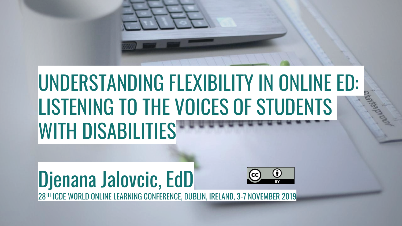## UNDERSTANDING FLEXIBILITY IN ONLINE ED: LISTENING TO THE VOICES OF STUDENTS WITH DISABILITIES<sup></sup>

### Djenana Jalovcic, EdD 28TH ICDE WORLD ONLINE LEARNING CONFERENCE, DUBLIN, IRELAND, 3-7 NOVEMBER 2019

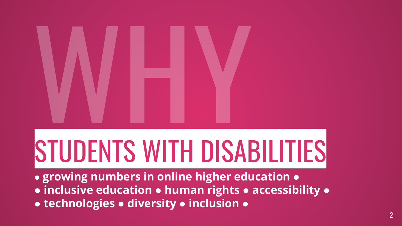# STUDENTS WITH DISABILITIES

- **● growing numbers in online higher education ●**
- **● inclusive education ● human rights ● accessibility ●**
- **● technologies ● diversity ● inclusion ●**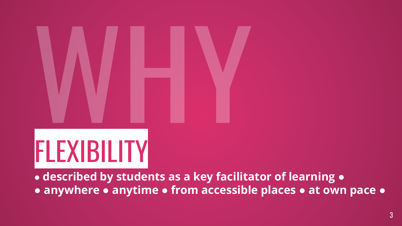# FLEXIBILITY

**● described by students as a key facilitator of learning ●**

**● anywhere ● anytime ● from accessible places ● at own pace ●**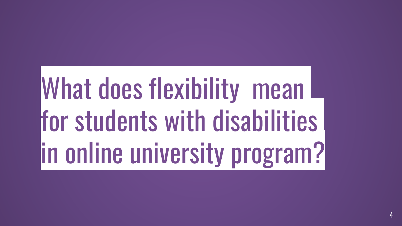## What does flexibility mean I for students with disabilities in online university program?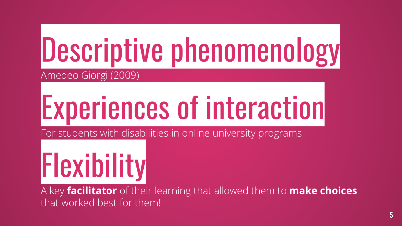## Descriptive phenomenology Amedeo Giorgi (2009)

# Experiences of interaction

For students with disabilities in online university programs

# Flexibility

A key **facilitator** of their learning that allowed them to **make choices**  that worked best for them!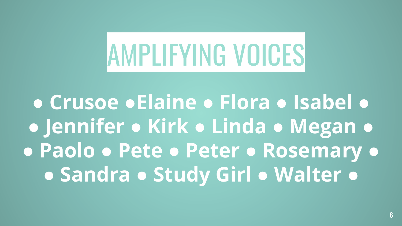# AMPLIFYING VOICES

**● Crusoe ●Elaine ● Flora ● Isabel ● ● Jennifer ● Kirk ● Linda ● Megan ● ● Paolo ● Pete ● Peter ● Rosemary ● ● Sandra ● Study Girl ● Walter ●**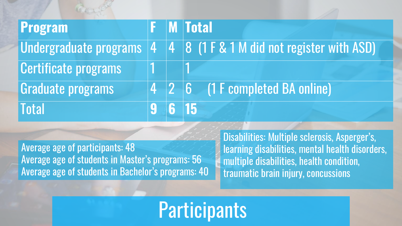| <b>Program</b>              |  | <b>F</b> M Total                                                    |
|-----------------------------|--|---------------------------------------------------------------------|
|                             |  |                                                                     |
| <b>Certificate programs</b> |  |                                                                     |
| Graduate programs           |  | $\begin{bmatrix} 4 & 2 & 6 \end{bmatrix}$ (1 F completed BA online) |
| <b>Total</b>                |  | $6 \vert 15$                                                        |

Average age of participants: 48 Average age of students in Master's programs: 56 Average age of students in Bachelor's programs: 40 Disabilities: Multiple sclerosis, Asperger's, learning disabilities, mental health disorders, multiple disabilities, health condition, traumatic brain injury, concussions

**Participants**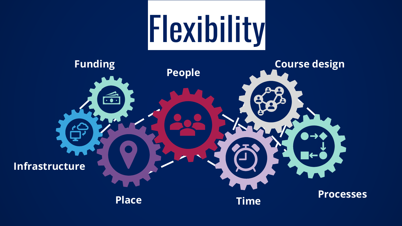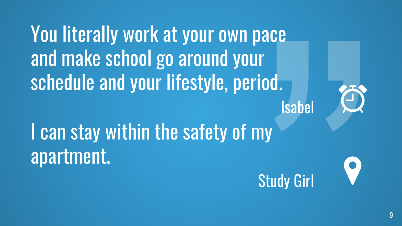You literally work at your own pace and make school go around your schedule and your lifestyle, period. Isabel I can stay within the safety of my



apartment.

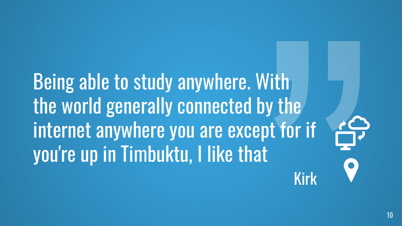Being able to study anywhere. With the world generally connected by the internet anywhere you are except for if you're up in Timbuktu, I like that

Kirk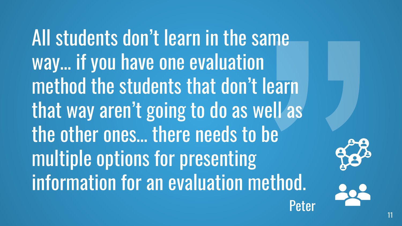All students don't learn in the same way... if you have one evaluation method the students that don't learn that way aren't going to do as well as the other ones… there needs to be multiple options for presenting information for an evaluation method. Peter

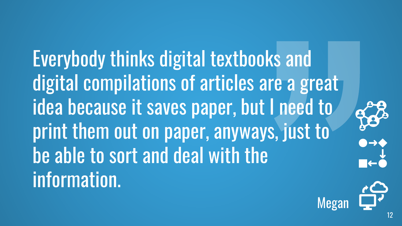Everybody thinks digital textbooks and digital compilations of articles are a great idea because it saves paper, but I need to print them out on paper, anyways, just to be able to sort and deal with the information.



Megan

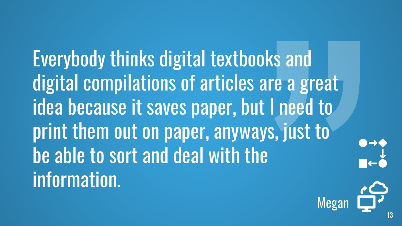Everybody thinks digital textbooks and digital compilations of articles are a great idea because it saves paper, but I need to print them out on paper, anyways, just to be able to sort and deal with the information.



 $\begin{array}{c} \bullet \to \bullet \\ \downarrow \end{array}$ 

13

Megan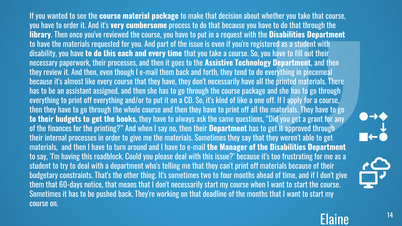If you wanted to see the **course material package** to make that decision about whether you take that course, you have to order it. And it's **very cumbersome** process to do that because you have to do that through the **library**. Then once you've reviewed the course, you have to put in a request with the **Disabilities Department**  to have the materials requested for you. And part of the issue is even if you're registered as a student with disability, you have **to do this each and every time** that you take a course. So, you have to fill out their necessary paperwork, their processes, and then it goes to the **Assistive Technology Department**, and then they review it. And then, even though I e-mail them back and forth, they tend to do everything in piecemeal because it's almost like every course that they have, they don't necessarily have all the printed materials. There has to be an assistant assigned, and then she has to go through the course package and she has to go through everything to print off everything and/or to put it on a CD. So, it's kind of like a one off. If I apply for a course, then they have to go through the whole course and then they have to print off all the materials. They have to go **to their budgets to get the books**, they have to always ask the same questions, "Did you get a grant for any of the finances for the printing?" And when I say no, then their **Department** has to get it approved through their internal processes in order to give me the materials. Sometimes they say that they weren't able to get materials, and then I have to turn around and I have to e-mail **the Manager of the Disabilities Department**  to say, 'I'm having this roadblock. Could you please deal with this issue?' because it's too frustrating for me as a student to try to deal with a department who's telling me that they can't print off materials because of their budgetary constraints. That's the other thing. It's sometimes two to four months ahead of time, and if I don't give them that 60-days notice, that means that I don't necessarily start my course when I want to start the course. Sometimes it has to be pushed back. They're working on that deadline of the months that I want to start my course on.





Elaine <sup>14</sup>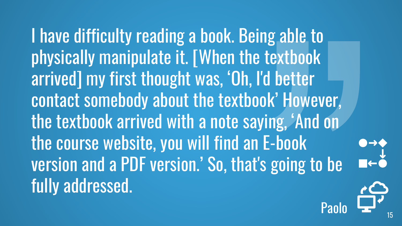I have difficulty reading a book. Being able to physically manipulate it. [When the textbook] arrived] my first thought was, 'Oh, I'd better contact somebody about the textbook' However, the textbook arrived with a note saying, 'And on the course website, you will find an E-book version and a PDF version.' So, that's going to be fully addressed.

Paolo <sup>15</sup>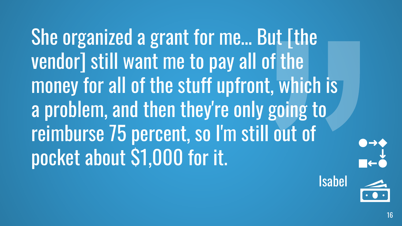She organized a grant for me… But [the vendor] still want me to pay all of the money for all of the stuff upfront, which is a problem, and then they're only going to reimburse 75 percent, so I'm still out of pocket about \$1,000 for it.

 $\begin{array}{c}\n\bullet \to \bullet \\
\downarrow \bullet \\
\hline\n\bullet \leftarrow \bullet\n\end{array}$ 

Isabel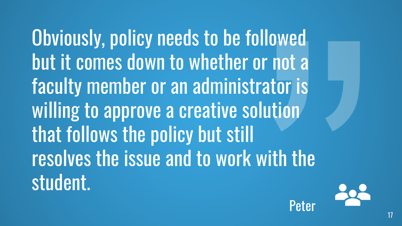Obviously, policy needs to be followed but it comes down to whether or not a faculty member or an administrator is willing to approve a creative solution that follows the policy but still resolves the issue and to work with the student.



**Peter**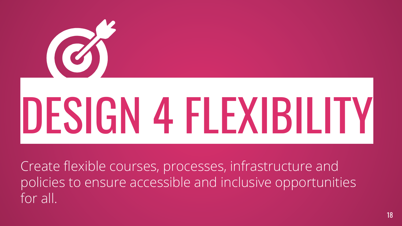

Create flexible courses, processes, infrastructure and policies to ensure accessible and inclusive opportunities for all.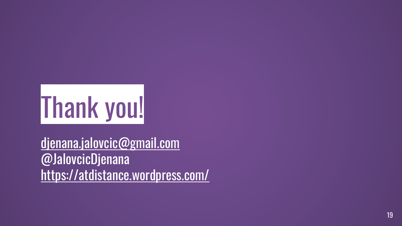

[djenana.jalovcic@gmail.com](mailto:djenana.Jalovcic@gmail.com) @JalovcicDjenana <https://atdistance.wordpress.com/>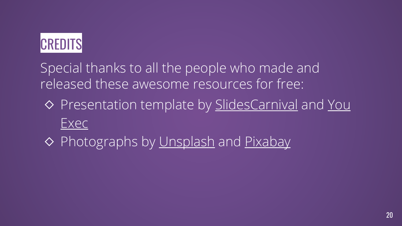

Special thanks to all the people who made and released these awesome resources for free:

- ◇ [Presentation template by SlidesCarnival](https://plus.youexec.com/resources/all/1) and You Exec
- ◇ Photographs by [Unsplash](http://unsplash.com/) and [Pixabay](https://pixabay.com/)